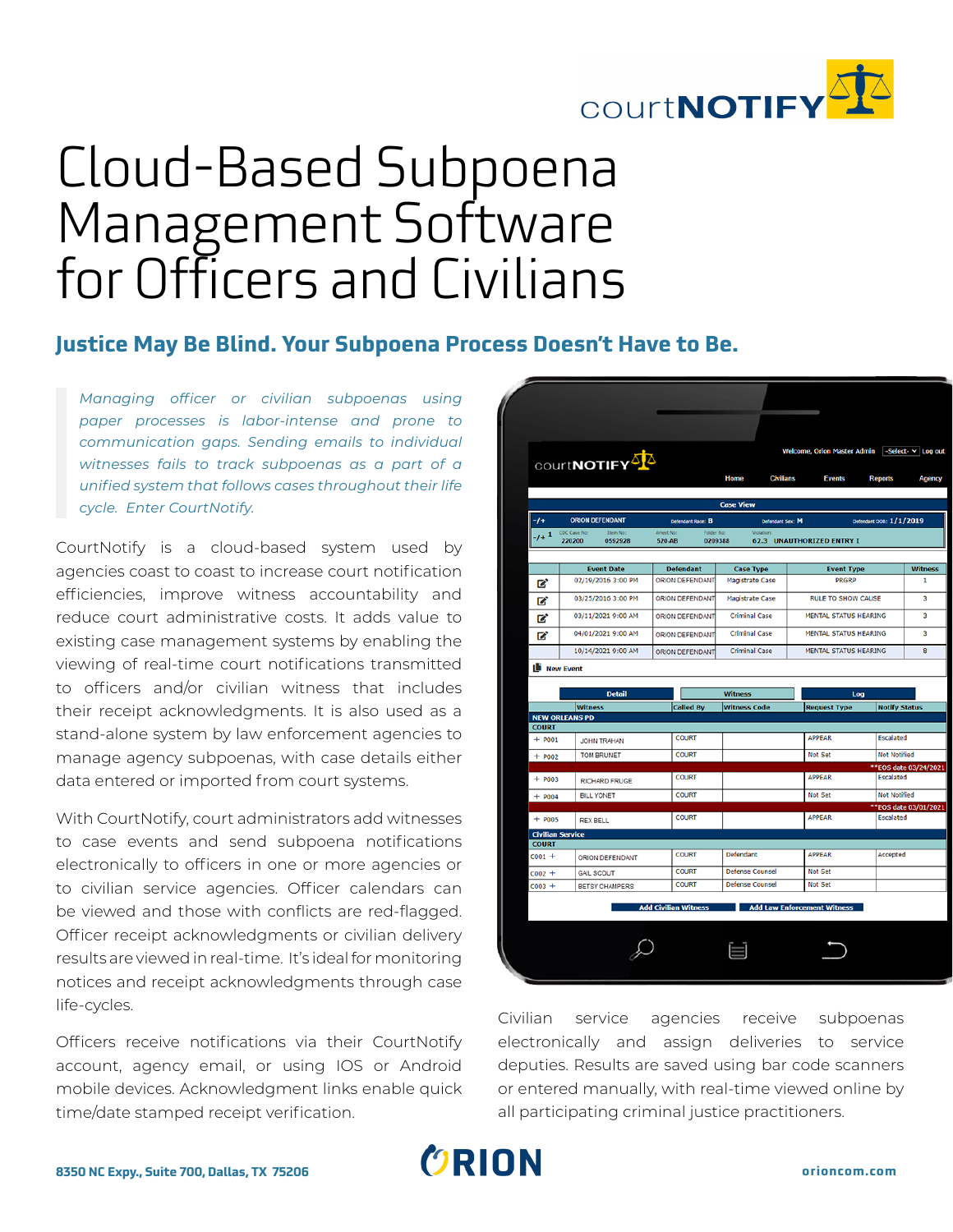

# Cloud-Based Subpoena Management Software for Officers and Civilians

### **Justice May Be Blind. Your Subpoena Process Doesn't Have to Be.**

*Managing officer or civilian subpoenas using paper processes is labor-intense and prone to communication gaps. Sending emails to individual witnesses fails to track subpoenas as a part of a unified system that follows cases throughout their life cycle. Enter CourtNotify.*

CourtNotify is a cloud-based system used by agencies coast to coast to increase court notification efficiencies, improve witness accountability and reduce court administrative costs. It adds value to existing case management systems by enabling the viewing of real-time court notifications transmitted to officers and/or civilian witness that includes their receipt acknowledgments. It is also used as a stand-alone system by law enforcement agencies to manage agency subpoenas, with case details either data entered or imported from court systems.

With CourtNotify, court administrators add witnesses to case events and send subpoena notifications electronically to officers in one or more agencies or to civilian service agencies. Officer calendars can be viewed and those with conflicts are red-flagged. Officer receipt acknowledgments or civilian delivery results are viewed in real-time. It's ideal for monitoring notices and receipt acknowledgments through case life-cycles.

Officers receive notifications via their CourtNotify account, agency email, or using IOS or Android mobile devices. Acknowledgment links enable quick time/date stamped receipt verification.

|              |                                               | COUrtNOTIFY                             |                                               |                             | Home                                       | <b>Civilians</b>                            | <b>Welcome, Orion Master Admin</b><br><b>Events</b> | -Select- v Log out<br><b>Reports</b> |                     |  |  |  |
|--------------|-----------------------------------------------|-----------------------------------------|-----------------------------------------------|-----------------------------|--------------------------------------------|---------------------------------------------|-----------------------------------------------------|--------------------------------------|---------------------|--|--|--|
|              |                                               |                                         |                                               |                             | <b>Case View</b>                           |                                             |                                                     |                                      |                     |  |  |  |
| -1+          |                                               | <b>ORION DEFENDANT</b>                  |                                               | Defendant Race: B           |                                            | Defendant DOB: 1/1/2019<br>Defendant Sex: M |                                                     |                                      |                     |  |  |  |
| $-1+1$       | CDC Case No:<br>Item No:<br>220200<br>0592928 |                                         | Arrest No:<br>Folder No.<br>520-AB<br>0209388 |                             |                                            |                                             | <b>62.3 UNAUTHORIZED ENTRY I</b>                    |                                      |                     |  |  |  |
|              |                                               |                                         |                                               |                             |                                            |                                             | <b>Event Type</b>                                   |                                      | <b>Witness</b>      |  |  |  |
| Ø            | <b>Event Date</b><br>02/19/2016 3:00 PM       |                                         | <b>Defendant</b><br>ORION DEFENDANT           |                             | <b>Case Type</b><br><b>Magistrate Case</b> |                                             | <b>PRGRP</b>                                        |                                      |                     |  |  |  |
| Ø            | 03/25/2016 3:00 PM                            |                                         | ORION DEFENDANT                               |                             | <b>Magistrate Case</b>                     |                                             | <b>RULE TO SHOW CAUSE</b>                           |                                      |                     |  |  |  |
| Ø            | 03/11/2021 9:00 AM                            |                                         | ORION DEFENDANT                               |                             | <b>Criminal Case</b>                       |                                             | <b>MENTAL STATUS HEARING</b>                        |                                      |                     |  |  |  |
| Ø            | 04/01/2021 9:00 AM                            |                                         |                                               | ORION DEFENDANT             | <b>Criminal Case</b>                       |                                             | <b>MENTAL STATUS HEARING</b>                        |                                      |                     |  |  |  |
|              | 10/14/2021 9:00 AM                            |                                         |                                               | ORION DEFENDANT             | <b>Criminal Case</b>                       |                                             | <b>MENTAL STATUS HEARING</b>                        |                                      |                     |  |  |  |
|              | <b>Detail</b>                                 |                                         |                                               |                             | <b>Witness</b>                             |                                             | Log                                                 |                                      |                     |  |  |  |
|              | <b>Witness</b><br><b>NEW ORLEANS PD</b>       |                                         |                                               | <b>Called By</b>            | <b>Witness Code</b>                        |                                             | <b>Request Type</b>                                 | <b>Notify Status</b>                 |                     |  |  |  |
| <b>COURT</b> |                                               |                                         |                                               | <b>COURT</b>                |                                            |                                             | <b>APPEAR</b>                                       | <b>Escalated</b>                     |                     |  |  |  |
| $+ $ P001    |                                               | <b>JOHN TRAHAN</b><br><b>TOM BRUNET</b> |                                               | <b>COURT</b>                |                                            |                                             | <b>Not Set</b>                                      |                                      | <b>Not Notified</b> |  |  |  |
| $+$ P002     |                                               |                                         |                                               |                             |                                            |                                             |                                                     | **EOS date 03/24/2021                |                     |  |  |  |
| $+ $ P003    |                                               | <b>RICHARD FRUGE</b>                    |                                               | <b>COURT</b>                |                                            |                                             | <b>APPEAR</b>                                       |                                      | <b>Escalated</b>    |  |  |  |
|              | <b>BILL YONET</b><br>$+$ P004                 |                                         | <b>COURT</b>                                  |                             |                                            |                                             | <b>Not Set</b>                                      |                                      | <b>Not Notified</b> |  |  |  |
| $+$ POOS     | <b>REX BELL</b>                               |                                         |                                               | <b>COURT</b>                |                                            |                                             | <b>APPEAR</b>                                       | **EOS date 03/01/2021<br>Escalated   |                     |  |  |  |
|              | <b>Civilian Service</b>                       |                                         |                                               |                             |                                            |                                             |                                                     |                                      |                     |  |  |  |
| <b>COURT</b> |                                               |                                         |                                               |                             |                                            |                                             |                                                     |                                      |                     |  |  |  |
| $C001 +$     | ORION DEFENDANT                               |                                         |                                               | <b>COURT</b>                | Defendant                                  |                                             | <b>APPEAR</b>                                       |                                      | Accepted            |  |  |  |
| $C002 +$     | <b>GAIL SCOUT</b>                             |                                         |                                               | <b>COURT</b>                | <b>Defense Counsel</b>                     |                                             | Not Set                                             |                                      |                     |  |  |  |
| $C003 +$     |                                               | BETSY CHAMPERS                          |                                               | <b>COURT</b>                | <b>Defense Counsel</b>                     |                                             | <b>Not Set</b>                                      |                                      |                     |  |  |  |
|              |                                               |                                         |                                               | <b>Add Civilian Witness</b> |                                            |                                             | <b>Add Law Enforcement Witness</b>                  |                                      |                     |  |  |  |

Civilian service agencies receive subpoenas electronically and assign deliveries to service deputies. Results are saved using bar code scanners or entered manually, with real-time viewed online by all participating criminal justice practitioners.